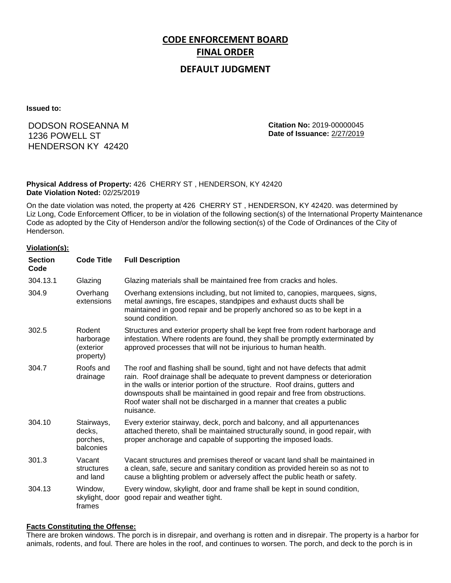# **CODE ENFORCEMENT BOARD FINAL ORDER**

## **DEFAULT JUDGMENT**

**Issued to:**

## DODSON ROSEANNA M 1236 POWELL ST HENDERSON KY 42420

**Citation No:** 2019-00000045 **Date of Issuance:** 2/27/2019

#### **Physical Address of Property:** 426 CHERRY ST , HENDERSON, KY 42420 **Date Violation Noted:** 02/25/2019

On the date violation was noted, the property at 426 CHERRY ST , HENDERSON, KY 42420. was determined by Liz Long, Code Enforcement Officer, to be in violation of the following section(s) of the International Property Maintenance Code as adopted by the City of Henderson and/or the following section(s) of the Code of Ordinances of the City of Henderson.

#### **Violation(s):**

| <b>Section</b><br>Code | <b>Code Title</b>                             | <b>Full Description</b>                                                                                                                                                                                                                                                                                                                                                                                    |
|------------------------|-----------------------------------------------|------------------------------------------------------------------------------------------------------------------------------------------------------------------------------------------------------------------------------------------------------------------------------------------------------------------------------------------------------------------------------------------------------------|
| 304.13.1               | Glazing                                       | Glazing materials shall be maintained free from cracks and holes.                                                                                                                                                                                                                                                                                                                                          |
| 304.9                  | Overhang<br>extensions                        | Overhang extensions including, but not limited to, canopies, marquees, signs,<br>metal awnings, fire escapes, standpipes and exhaust ducts shall be<br>maintained in good repair and be properly anchored so as to be kept in a<br>sound condition.                                                                                                                                                        |
| 302.5                  | Rodent<br>harborage<br>(exterior<br>property) | Structures and exterior property shall be kept free from rodent harborage and<br>infestation. Where rodents are found, they shall be promptly exterminated by<br>approved processes that will not be injurious to human health.                                                                                                                                                                            |
| 304.7                  | Roofs and<br>drainage                         | The roof and flashing shall be sound, tight and not have defects that admit<br>rain. Roof drainage shall be adequate to prevent dampness or deterioration<br>in the walls or interior portion of the structure. Roof drains, gutters and<br>downspouts shall be maintained in good repair and free from obstructions.<br>Roof water shall not be discharged in a manner that creates a public<br>nuisance. |
| 304.10                 | Stairways,<br>decks,<br>porches,<br>balconies | Every exterior stairway, deck, porch and balcony, and all appurtenances<br>attached thereto, shall be maintained structurally sound, in good repair, with<br>proper anchorage and capable of supporting the imposed loads.                                                                                                                                                                                 |
| 301.3                  | Vacant<br>structures<br>and land              | Vacant structures and premises thereof or vacant land shall be maintained in<br>a clean, safe, secure and sanitary condition as provided herein so as not to<br>cause a blighting problem or adversely affect the public heath or safety.                                                                                                                                                                  |
| 304.13                 | Window,<br>skylight, door<br>frames           | Every window, skylight, door and frame shall be kept in sound condition,<br>good repair and weather tight.                                                                                                                                                                                                                                                                                                 |

#### **Facts Constituting the Offense:**

There are broken windows. The porch is in disrepair, and overhang is rotten and in disrepair. The property is a harbor for animals, rodents, and foul. There are holes in the roof, and continues to worsen. The porch, and deck to the porch is in